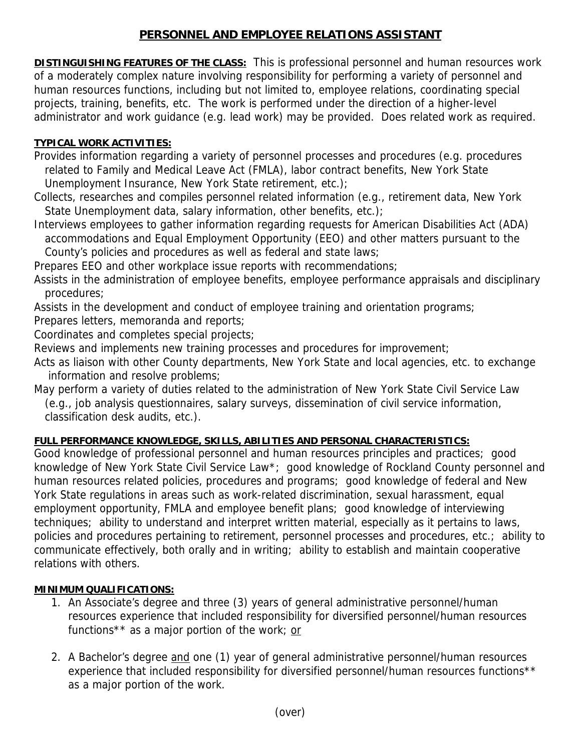# **PERSONNEL AND EMPLOYEE RELATIONS ASSISTANT**

**DISTINGUISHING FEATURES OF THE CLASS:** This is professional personnel and human resources work of a moderately complex nature involving responsibility for performing a variety of personnel and human resources functions, including but not limited to, employee relations, coordinating special projects, training, benefits, etc. The work is performed under the direction of a higher-level administrator and work guidance (e.g. lead work) may be provided. Does related work as required.

#### **TYPICAL WORK ACTIVITIES:**

Provides information regarding a variety of personnel processes and procedures (e.g. procedures related to Family and Medical Leave Act (FMLA), labor contract benefits, New York State Unemployment Insurance, New York State retirement, etc.);

Collects, researches and compiles personnel related information (e.g., retirement data, New York State Unemployment data, salary information, other benefits, etc.);

Interviews employees to gather information regarding requests for American Disabilities Act (ADA) accommodations and Equal Employment Opportunity (EEO) and other matters pursuant to the County's policies and procedures as well as federal and state laws;

Prepares EEO and other workplace issue reports with recommendations;

Assists in the administration of employee benefits, employee performance appraisals and disciplinary procedures;

Assists in the development and conduct of employee training and orientation programs;

Prepares letters, memoranda and reports;

Coordinates and completes special projects;

Reviews and implements new training processes and procedures for improvement;

Acts as liaison with other County departments, New York State and local agencies, etc. to exchange information and resolve problems;

May perform a variety of duties related to the administration of New York State Civil Service Law

 (e.g., job analysis questionnaires, salary surveys, dissemination of civil service information, classification desk audits, etc.).

## **FULL PERFORMANCE KNOWLEDGE, SKILLS, ABILITIES AND PERSONAL CHARACTERISTICS:**

Good knowledge of professional personnel and human resources principles and practices; good knowledge of New York State Civil Service Law\*; good knowledge of Rockland County personnel and human resources related policies, procedures and programs; good knowledge of federal and New York State regulations in areas such as work-related discrimination, sexual harassment, equal employment opportunity, FMLA and employee benefit plans; good knowledge of interviewing techniques; ability to understand and interpret written material, especially as it pertains to laws, policies and procedures pertaining to retirement, personnel processes and procedures, etc.; ability to communicate effectively, both orally and in writing; ability to establish and maintain cooperative relations with others.

## **MINIMUM QUALIFICATIONS:**

- 1. An Associate's degree and three (3) years of general administrative personnel/human resources experience that included responsibility for diversified personnel/human resources functions<sup>\*\*</sup> as a major portion of the work; or
- 2. A Bachelor's degree and one (1) year of general administrative personnel/human resources experience that included responsibility for diversified personnel/human resources functions\*\* as a major portion of the work.